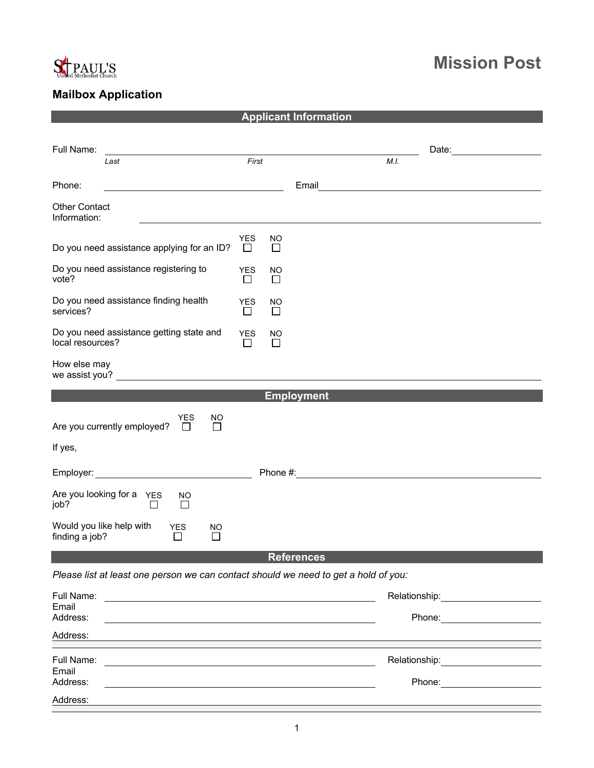

## **Mission Post**

## **Mailbox Application**

|                                                                                                                                |                       |                     | <b>Applicant Information</b> |                            |
|--------------------------------------------------------------------------------------------------------------------------------|-----------------------|---------------------|------------------------------|----------------------------|
|                                                                                                                                |                       |                     |                              |                            |
| Full Name:<br>Last                                                                                                             | First                 |                     | M.I.                         | Date: <u>_____________</u> |
| Phone:                                                                                                                         |                       |                     | Email                        |                            |
| <b>Other Contact</b><br>Information:                                                                                           |                       |                     |                              |                            |
| Do you need assistance applying for an ID?                                                                                     | <b>YES</b><br>$\perp$ | NO<br>$\Box$        |                              |                            |
| Do you need assistance registering to<br>vote?                                                                                 | <b>YES</b><br>$\perp$ | <b>NO</b><br>П      |                              |                            |
| Do you need assistance finding health<br>services?                                                                             | <b>YES</b><br>$\Box$  | NO<br>$\Box$        |                              |                            |
| Do you need assistance getting state and<br>local resources?                                                                   | <b>YES</b><br>$\perp$ | <b>NO</b><br>$\Box$ |                              |                            |
| How else may<br>we assist you? The same state of the state of the state of the state of the state of the state of the state of |                       |                     |                              |                            |
|                                                                                                                                |                       |                     | <b>Employment</b>            |                            |
| <b>YES</b><br>NO<br>Are you currently employed?<br>$\perp$<br>$\perp$                                                          |                       |                     |                              |                            |
| If yes,                                                                                                                        |                       |                     |                              |                            |
|                                                                                                                                |                       |                     |                              |                            |
| Are you looking for a YES<br>NO.<br>job?<br>□<br>$\Box$                                                                        |                       |                     |                              |                            |
| Would you like help with<br><b>YES</b><br><b>NO</b><br>finding a job?<br>$\mathsf{L}$                                          |                       |                     |                              |                            |
|                                                                                                                                |                       |                     | <b>References</b>            |                            |
| Please list at least one person we can contact should we need to get a hold of you:                                            |                       |                     |                              |                            |
| Full Name:                                                                                                                     |                       |                     |                              |                            |
| Email<br>Address:                                                                                                              |                       |                     |                              |                            |
| Address:                                                                                                                       |                       |                     |                              |                            |
| Full Name:                                                                                                                     |                       |                     |                              |                            |
| Email<br>Address:                                                                                                              |                       |                     |                              |                            |
| Address:                                                                                                                       |                       |                     |                              |                            |